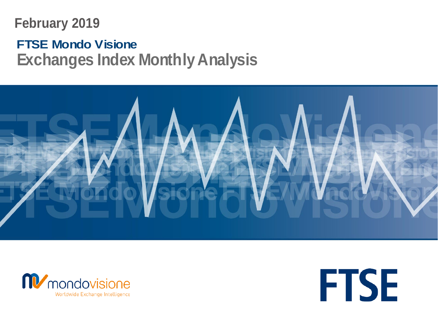# **February 2019 FTSE Mondo Visione**

## **Exchanges Index Monthly Analysis**





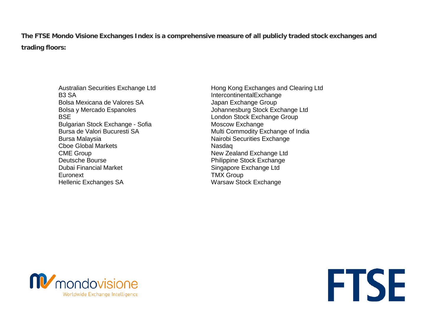**The FTSE Mondo Visione Exchanges Index is a comprehensive measure of all publicly traded stock exchanges and trading floors:**

> Bolsa Mexicana de Valores SA Japan Exchange Group Bolsa y Mercado Espanoles **International Exchange Ltd** Johannesburg Stock Exchange Ltd BSE **BSE London Stock Exchange Group** Bulgarian Stock Exchange - Sofia Moscow Exchange Bursa de Valori Bucuresti SA Multi Commodity Exchange of India<br>Bursa Malavsia Multi Commodity Exchange Cboe Global Markets<br>
> CME Group<br>
> New Zea Deutsche Bourse **Philippine Stock Exchange** Dubai Financial Market **Singapore Exchange Ltd** Euronext TMX Group Hellenic Exchanges SA Warsaw Stock Exchange

Australian Securities Exchange Ltd<br>
B3 SA<br>
Hong Kong Exchanges and Clearing Ltd<br>
Intercontinental Exchange **IntercontinentalExchange** Nairobi Securities Exchange New Zealand Exchange Ltd

**FTSE** 

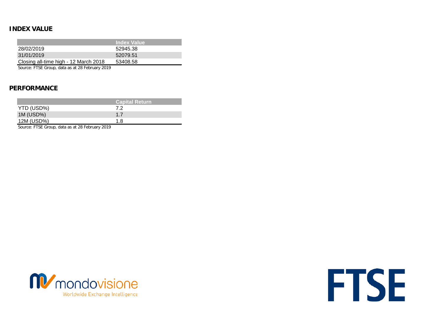#### **INDEX VALUE**

|                                       | <b>Index Value</b> |
|---------------------------------------|--------------------|
| 28/02/2019                            | 52945.38           |
| 31/01/2019                            | 52079.51           |
| Closing all-time high - 12 March 2018 | 53408.58           |
|                                       |                    |

Source: FTSE Group, data as at 28 February 2019

#### **PERFORMANCE**

|            | <b>Capital Return</b> |
|------------|-----------------------|
| YTD (USD%) | 72                    |
| 1M (USD%)  | 17                    |
| 12M (USD%) | 1 R                   |

Source: FTSE Group, data as at 28 February 2019



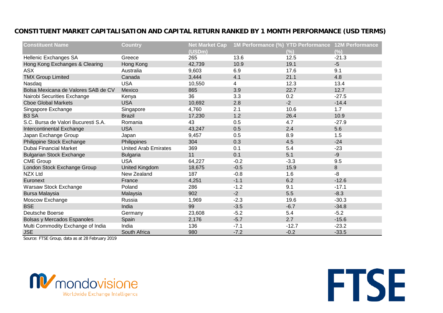#### **CONSTITUENT MARKET CAPITALISATION AND CAPITAL RETURN RANKED BY 1 MONTH PERFORMANCE (USD TERMS)**

| <b>Constituent Name</b>             | <b>Country</b>              | <b>Net Market Cap</b> | 1M Performance (%) YTD Performance 12M Performance |         |         |
|-------------------------------------|-----------------------------|-----------------------|----------------------------------------------------|---------|---------|
|                                     |                             | (USDm)                |                                                    | $(\%)$  | $(\%)$  |
| Hellenic Exchanges SA               | Greece                      | 265                   | 13.6                                               | 12.5    | $-21.3$ |
| Hong Kong Exchanges & Clearing      | Hong Kong                   | 42,739                | 10.9                                               | 19.1    | $-5$    |
| ASX                                 | Australia                   | 9,603                 | 6.9                                                | 17.6    | 9.1     |
| <b>TMX Group Limited</b>            | Canada                      | 3,444                 | 4.1                                                | 21.1    | 4.8     |
| Nasdaq                              | <b>USA</b>                  | 10,550                | 4                                                  | 12.3    | 13.4    |
| Bolsa Mexicana de Valores SAB de CV | Mexico                      | 865                   | 3.9                                                | 22.7    | 12.7    |
| Nairobi Securities Exchange         | Kenya                       | 36                    | 3.3                                                | 0.2     | $-27.5$ |
| <b>Cboe Global Markets</b>          | <b>USA</b>                  | 10,692                | 2.8                                                | $-2$    | $-14.4$ |
| Singapore Exchange                  | Singapore                   | 4,760                 | 2.1                                                | 10.6    | 1.7     |
| B <sub>3</sub> SA                   | <b>Brazil</b>               | 17,230                | 1.2                                                | 26.4    | 10.9    |
| S.C. Bursa de Valori Bucuresti S.A. | Romania                     | 43                    | 0.5                                                | 4.7     | $-27.9$ |
| Intercontinental Exchange           | <b>USA</b>                  | 43,247                | 0.5                                                | 2.4     | 5.6     |
| Japan Exchange Group                | Japan                       | 9,457                 | 0.5                                                | 8.9     | 1.5     |
| Philippine Stock Exchange           | Philippines                 | 304                   | 0.3                                                | 4.5     | $-24$   |
| <b>Dubai Financial Market</b>       | <b>United Arab Emirates</b> | 369                   | 0.1                                                | 5.4     | $-23$   |
| <b>Bulgarian Stock Exchange</b>     | <b>Bulgaria</b>             | 11                    | 0.1                                                | 5.1     | $-9$    |
| <b>CME Group</b>                    | <b>USA</b>                  | 64,227                | $-0.2$                                             | $-3.3$  | 9.5     |
| London Stock Exchange Group         | <b>United Kingdom</b>       | 18,675                | $-0.5$                                             | 15.9    | 8       |
| <b>NZX Ltd</b>                      | New Zealand                 | 187                   | $-0.8$                                             | 1.6     | $-8$    |
| Euronext                            | France                      | 4,251                 | $-1.1$                                             | 6.2     | $-12.6$ |
| Warsaw Stock Exchange               | Poland                      | 286                   | $-1.2$                                             | 9.1     | $-17.1$ |
| Bursa Malaysia                      | Malaysia                    | 902                   | $-2$                                               | 5.5     | $-8.3$  |
| Moscow Exchange                     | Russia                      | 1,969                 | $-2.3$                                             | 19.6    | $-30.3$ |
| <b>BSE</b>                          | India                       | 99                    | $-3.5$                                             | $-6.7$  | $-34.8$ |
| Deutsche Boerse                     | Germany                     | 23,608                | $-5.2$                                             | 5.4     | $-5.2$  |
| Bolsas y Mercados Espanoles         | Spain                       | 2,176                 | $-5.7$                                             | 2.7     | $-15.6$ |
| Multi Commodity Exchange of India   | India                       | 136                   | $-7.1$                                             | $-12.7$ | $-23.2$ |
| <b>JSE</b>                          | South Africa                | 980                   | $-7.2$                                             | $-0.2$  | $-33.5$ |

Source: FTSE Group, data as at 28 February 2019



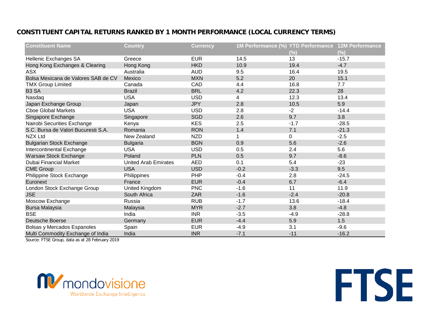### **CONSTITUENT CAPITAL RETURNS RANKED BY 1 MONTH PERFORMANCE (LOCAL CURRENCY TERMS)**

| <b>Constituent Name</b>             | Country                     | <b>Currency</b> | 1M Performance (%) YTD Performance 12M Performance |        |         |
|-------------------------------------|-----------------------------|-----------------|----------------------------------------------------|--------|---------|
|                                     |                             |                 |                                                    | (%)    | $(\% )$ |
| <b>Hellenic Exchanges SA</b>        | Greece                      | <b>EUR</b>      | 14.5                                               | 13     | $-15.7$ |
| Hong Kong Exchanges & Clearing      | Hong Kong                   | <b>HKD</b>      | 10.9                                               | 19.4   | $-4.7$  |
| <b>ASX</b>                          | Australia                   | <b>AUD</b>      | 9.5                                                | 16.4   | 19.5    |
| Bolsa Mexicana de Valores SAB de CV | Mexico                      | <b>MXN</b>      | 5.2                                                | 20     | 15.1    |
| <b>TMX Group Limited</b>            | Canada                      | CAD             | 4.4                                                | 16.8   | 7.7     |
| B <sub>3</sub> SA                   | <b>Brazil</b>               | <b>BRL</b>      | 4.2                                                | 22.3   | 28      |
| Nasdaq                              | <b>USA</b>                  | <b>USD</b>      | 4                                                  | 12.3   | 13.4    |
| Japan Exchange Group                | Japan                       | <b>JPY</b>      | 2.8                                                | 10.5   | 5.9     |
| <b>Cboe Global Markets</b>          | <b>USA</b>                  | <b>USD</b>      | 2.8                                                | $-2$   | $-14.4$ |
| Singapore Exchange                  | Singapore                   | <b>SGD</b>      | 2.6                                                | 9.7    | 3.8     |
| Nairobi Securities Exchange         | Kenya                       | <b>KES</b>      | 2.5                                                | $-1.7$ | $-28.5$ |
| S.C. Bursa de Valori Bucuresti S.A. | Romania                     | <b>RON</b>      | 1.4                                                | 7.1    | $-21.3$ |
| NZX Ltd                             | New Zealand                 | <b>NZD</b>      | $\mathbf 1$                                        | 0      | $-2.5$  |
| <b>Bulgarian Stock Exchange</b>     | <b>Bulgaria</b>             | <b>BGN</b>      | 0.9                                                | 5.6    | $-2.6$  |
| Intercontinental Exchange           | <b>USA</b>                  | <b>USD</b>      | 0.5                                                | 2.4    | 5.6     |
| Warsaw Stock Exchange               | Poland                      | <b>PLN</b>      | 0.5                                                | 9.7    | $-8.6$  |
| <b>Dubai Financial Market</b>       | <b>United Arab Emirates</b> | <b>AED</b>      | 0.1                                                | 5.4    | $-23$   |
| <b>CME Group</b>                    | <b>USA</b>                  | <b>USD</b>      | $-0.2$                                             | $-3.3$ | 9.5     |
| Philippine Stock Exchange           | Philippines                 | PHP             | $-0.4$                                             | 2.8    | $-24.5$ |
| Euronext                            | France                      | <b>EUR</b>      | $-0.4$                                             | 6.7    | $-6.4$  |
| London Stock Exchange Group         | United Kingdom              | <b>PNC</b>      | $-1.6$                                             | 11     | 11.9    |
| <b>JSE</b>                          | South Africa                | <b>ZAR</b>      | $-1.6$                                             | $-2.4$ | $-20.8$ |
| Moscow Exchange                     | Russia                      | <b>RUB</b>      | $-1.7$                                             | 13.6   | $-18.4$ |
| Bursa Malaysia                      | Malaysia                    | <b>MYR</b>      | $-2.7$                                             | 3.8    | $-4.8$  |
| <b>BSE</b>                          | India                       | <b>INR</b>      | $-3.5$                                             | $-4.9$ | $-28.8$ |
| Deutsche Boerse                     | Germany                     | <b>EUR</b>      | $-4.4$                                             | 5.9    | 1.5     |
| Bolsas y Mercados Espanoles         | Spain                       | <b>EUR</b>      | $-4.9$                                             | 3.1    | $-9.6$  |
| Multi Commodity Exchange of India   | India                       | <b>INR</b>      | $-7.1$                                             | $-11$  | $-16.2$ |

Source: FTSE Group, data as at 28 February 2019



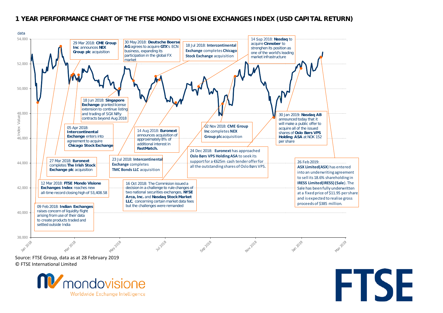#### **1 YEAR PERFORMANCE CHART OF THE FTSE MONDO VISIONE EXCHANGES INDEX (USD CAPITAL RETURN)**



**FTSE** 

Source: FTSE Group, data as at 28 February 2019 © FTSE International Limited